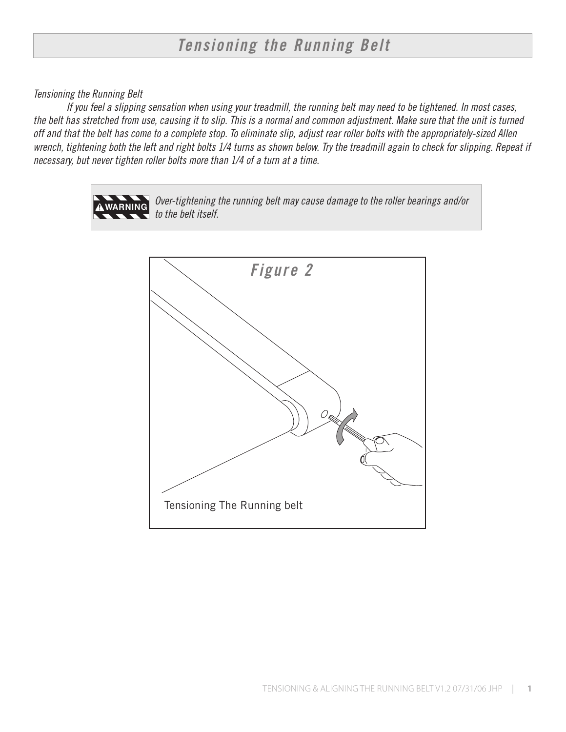## *Tensioning the Running Belt*

## *Tensioning the Running Belt*

*If you feel a slipping sensation when using your treadmill, the running belt may need to be tightened. In most cases, the belt has stretched from use, causing it to slip. This is a normal and common adjustment. Make sure that the unit is turned off and that the belt has come to a complete stop. To eliminate slip, adjust rear roller bolts with the appropriately-sized Allen wrench, tightening both the left and right bolts 1/4 turns as shown below. Try the treadmill again to check for slipping. Repeat if necessary, but never tighten roller bolts more than 1/4 of a turn at a time.*